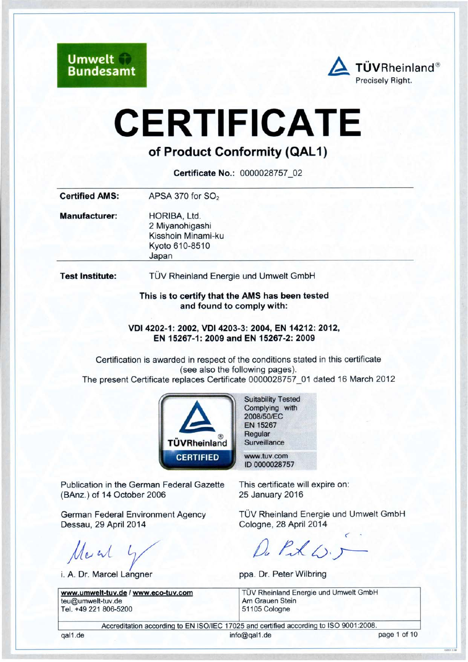**Umwelt Bundesamt** 



# **CERTIFICATE**

# of Product Conformity (QAL1)

Certificate No.: 0000028757 02

| HORIBA, Ltd.                                                                 |
|------------------------------------------------------------------------------|
| 2 Miyanohigashi<br>Kisshoin Minami-ku<br>Kyoto 610-8510<br>Japan             |
| TÜV Rheinland Energie und Umwelt GmbH                                        |
| This is to certify that the AMS has been tested<br>and found to comply with: |
|                                                                              |

VDI 4202-1: 2002, VDI 4203-3: 2004, EN 14212: 2012, EN 15267-1: 2009 and EN 15267-2: 2009

Certification is awarded in respect of the conditions stated in this certificate (see also the following pages). The present Certificate replaces Certificate 0000028757 01 dated 16 March 2012



Publication in the German Federal Gazette (BAnz.) of 14 October 2006

**German Federal Environment Agency** Dessau, 29 April 2014

March 4

i. A. Dr. Marcel Langner

www.umwelt-tuv.de / www.eco-tuv.com teu@umwelt-tuv.de Tel. +49 221 806-5200

**Suitability Tested** Complying with 2008/50/EC EN 15267 Regular Surveillance

www.tuv.com ID 0000028757

This certificate will expire on: 25 January 2016

TÜV Rheinland Energie und Umwelt GmbH Cologne, 28 April 2014

Du Pak 6.5

ppa. Dr. Peter Wilbring

TÜV Rheinland Energie und Umwelt GmbH Am Grauen Stein 51105 Cologne

Accreditation according to EN ISO/IEC 17025 and certified according to ISO 9001:2008.

gal1.de

info@gal1.de

page 1 of 10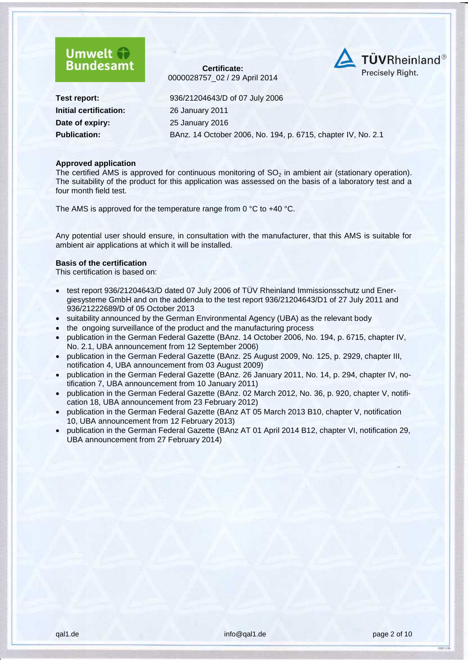



**Initial certification:** 26 January 2011 **Date of expiry:** 25 [January](#page--1-2) 2016

**Test report:** 936/21204643/D of 07 July 2006 **Publication:** BAnz. 14 October 2006, No. 194, p. 6715, chapter IV, No. 2.1

#### **Approved application**

The certified AMS is approved for continuous monitoring of  $SO<sub>2</sub>$  in ambient air (stationary operation). The suitability of the product for this application was assessed on the basis of a laboratory test and a four month field test.

The AMS is approved for the temperature range from 0 °C to +40 °C.

Any potential user should ensure, in consultation with the manufacturer, that this AMS is suitable for ambient air applications at which it will be installed.

#### **Basis of the certification**

This certification is based on:

- test report 936/21204643/D dated 07 July 2006 of TÜV Rheinland Immissionsschutz und Energiesysteme GmbH and on the addenda to the test report 936/21204643/D1 of 27 July 2011 and 936/21222689/D of 05 October 2013
- suitability announced by the German Environmental Agency (UBA) as the relevant body
- the ongoing surveillance of the product and the manufacturing process
- publication in the German Federal Gazette (BAnz. 14 October 2006, No. 194, p. 6715, chapter IV, No. 2.1, UBA announcement from 12 September 2006)
- publication in the German Federal Gazette (BAnz. 25 August 2009, No. 125, p. 2929, chapter III, notification 4, UBA announcement from 03 August 2009)
- publication in the German Federal Gazette (BAnz. 26 January 2011, No. 14, p. 294, chapter IV, notification 7, UBA announcement from 10 January 2011)
- publication in the German Federal Gazette (BAnz. 02 March 2012, No. 36, p. 920, chapter V, notification 18, UBA announcement from 23 February 2012)
- publication in the German Federal Gazette (BAnz AT 05 March 2013 B10, chapter V, notification 10, UBA announcement from 12 February 2013)
- publication in the German Federal Gazette (BAnz AT 01 April 2014 B12, chapter VI, notification 29, UBA announcement from 27 February 2014)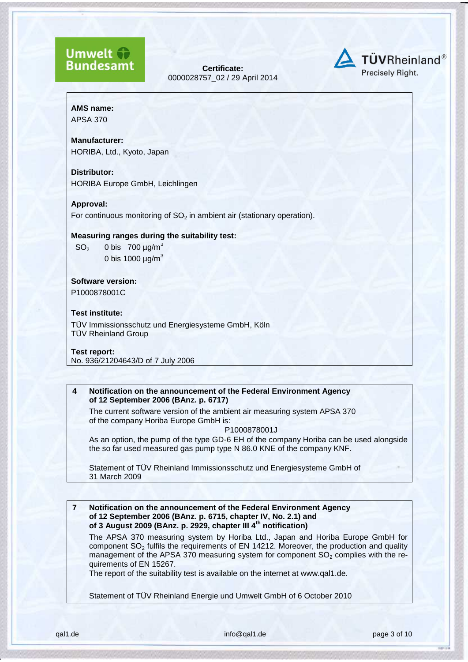## **Umwelt Bundesamt**

**Certificate:** [0000028757\\_](#page--1-0)02 / [29 April 2014](#page--1-1)



## **AMS name:**

APSA 370

#### **Manufacturer:**

HORIBA, Ltd., Kyoto, Japan

#### **Distributor:**

HORIBA Europe GmbH, Leichlingen

#### **Approval:**

For continuous monitoring of  $SO<sub>2</sub>$  in ambient air (stationary operation).

#### **Measuring ranges during the suitability test:**

 $SO<sub>2</sub>$  0 bis 700  $\mu$ g/m<sup>3</sup> 0 bis 1000  $\mu$ g/m<sup>3</sup>

#### **Software version:** P1000878001C

#### **Test institute:**

TÜV Immissionsschutz und Energiesysteme GmbH, Köln TÜV Rheinland Group

#### **Test report:** No. 936/21204643/D of 7 July 2006

#### **4 Notification on the announcement of the Federal Environment Agency of 12 September 2006 (BAnz. p. 6717)**

The current software version of the ambient air measuring system APSA 370 of the company Horiba Europe GmbH is:

#### P1000878001J

As an option, the pump of the type GD-6 EH of the company Horiba can be used alongside the so far used measured gas pump type N 86.0 KNE of the company KNF.

Statement of TÜV Rheinland Immissionsschutz und Energiesysteme GmbH of 31 March 2009

#### **7 Notification on the announcement of the Federal Environment Agency of 12 September 2006 (BAnz. p. 6715, chapter IV, No. 2.1) and of 3 August 2009 (BAnz. p. 2929, chapter III 4th notification)**

The APSA 370 measuring system by Horiba Ltd., Japan and Horiba Europe GmbH for component  $SO<sub>2</sub>$  fulfils the requirements of EN 14212. Moreover, the production and quality management of the APSA 370 measuring system for component  $SO<sub>2</sub>$  complies with the requirements of EN 15267.

The report of the suitability test is available on the internet at www.qal1.de.

Statement of TÜV Rheinland Energie und Umwelt GmbH of 6 October 2010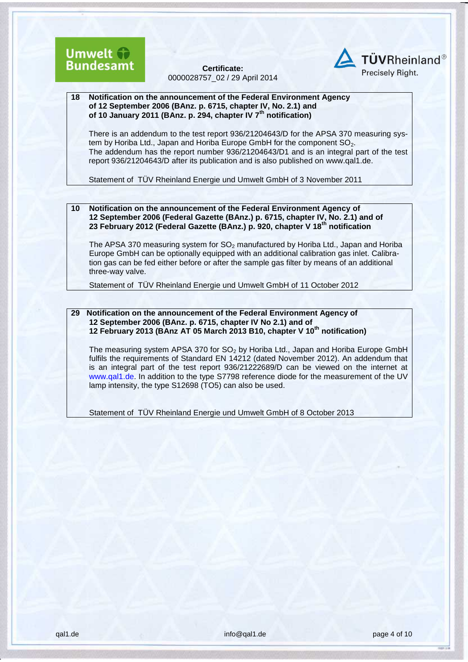



**18 Notification on the announcement of the Federal Environment Agency of 12 September 2006 (BAnz. p. 6715, chapter IV, No. 2.1) and of 10 January 2011 (BAnz. p. 294, chapter IV 7th notification)**

There is an addendum to the test report 936/21204643/D for the APSA 370 measuring system by Horiba Ltd., Japan and Horiba Europe GmbH for the component  $SO<sub>2</sub>$ . The addendum has the report number 936/21204643/D1 and is an integral part of the test report 936/21204643/D after its publication and is also published on [www.qal1.de.](http://www.qal1.de/)

Statement of TÜV Rheinland Energie und Umwelt GmbH of 3 November 2011

**10 Notification on the announcement of the Federal Environment Agency of 12 September 2006 (Federal Gazette (BAnz.) p. 6715, chapter IV, No. 2.1) and of 23 February 2012 (Federal Gazette (BAnz.) p. 920, chapter V 18th notification**

The APSA 370 measuring system for  $SO<sub>2</sub>$  manufactured by Horiba Ltd., Japan and Horiba Europe GmbH can be optionally equipped with an additional calibration gas inlet. Calibration gas can be fed either before or after the sample gas filter by means of an additional three-way valve.

Statement of TÜV Rheinland Energie und Umwelt GmbH of 11 October 2012

**29 Notification on the announcement of the Federal Environment Agency of 12 September 2006 (BAnz. p. 6715, chapter IV No 2.1) and of 12 February 2013 (BAnz AT 05 March 2013 B10, chapter V 10th notification)**

The measuring system APSA 370 for  $SO<sub>2</sub>$  by Horiba Ltd., Japan and Horiba Europe GmbH fulfils the requirements of Standard EN 14212 (dated November 2012). An addendum that is an integral part of the test report 936/21222689/D can be viewed on the internet at www.qal1.de. In addition to the type S7798 reference diode for the measurement of the UV lamp intensity, the type S12698 (TO5) can also be used.

Statement of TÜV Rheinland Energie und Umwelt GmbH of 8 October 2013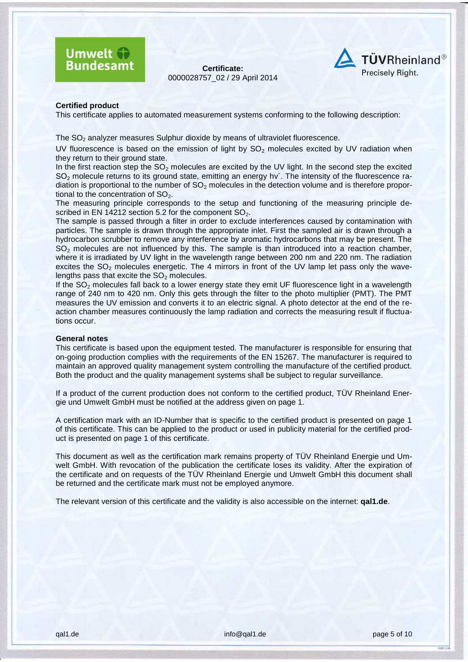



#### **Certified product**

This certificate applies to automated measurement systems conforming to the following description:

The  $SO<sub>2</sub>$  analyzer measures Sulphur dioxide by means of ultraviolet fluorescence.

UV fluorescence is based on the emission of light by  $SO<sub>2</sub>$  molecules excited by UV radiation when they return to their ground state.

In the first reaction step the  $SO_2$  molecules are excited by the UV light. In the second step the excited SO<sub>2</sub> molecule returns to its ground state, emitting an energy hv<sup>2</sup>. The intensity of the fluorescence radiation is proportional to the number of  $SO<sub>2</sub>$  molecules in the detection volume and is therefore proportional to the concentration of  $SO<sub>2</sub>$ .

The measuring principle corresponds to the setup and functioning of the measuring principle described in EN 14212 section 5.2 for the component  $SO<sub>2</sub>$ .

The sample is passed through a filter in order to exclude interferences caused by contamination with particles. The sample is drawn through the appropriate inlet. First the sampled air is drawn through a hydrocarbon scrubber to remove any interference by aromatic hydrocarbons that may be present. The  $SO<sub>2</sub>$  molecules are not influenced by this. The sample is than introduced into a reaction chamber, where it is irradiated by UV light in the wavelength range between 200 nm and 220 nm. The radiation excites the  $SO<sub>2</sub>$  molecules energetic. The 4 mirrors in front of the UV lamp let pass only the wavelengths pass that excite the  $SO<sub>2</sub>$  molecules.

If the SO<sub>2</sub> molecules fall back to a lower energy state they emit UF fluorescence light in a wavelength range of 240 nm to 420 nm. Only this gets through the filter to the photo multiplier (PMT). The PMT measures the UV emission and converts it to an electric signal. A photo detector at the end of the reaction chamber measures continuously the lamp radiation and corrects the measuring result if fluctuations occur.

#### **General notes**

This certificate is based upon the equipment tested. The manufacturer is responsible for ensuring that on-going production complies with the requirements of the EN 15267. The manufacturer is required to maintain an approved quality management system controlling the manufacture of the certified product. Both the product and the quality management systems shall be subject to regular surveillance.

If a product of the current production does not conform to the certified product, TÜV Rheinland Energie und Umwelt GmbH must be notified at the address given on page 1.

A certification mark with an ID-Number that is specific to the certified product is presented on page 1 of this certificate. This can be applied to the product or used in publicity material for the certified product is presented on page 1 of this certificate.

This document as well as the certification mark remains property of TÜV Rheinland Energie und Umwelt GmbH. With revocation of the publication the certificate loses its validity. After the expiration of the certificate and on requests of the TÜV Rheinland Energie und Umwelt GmbH this document shall be returned and the certificate mark must not be employed anymore.

The relevant version of this certificate and the validity is also accessible on the internet: **qal1.de**.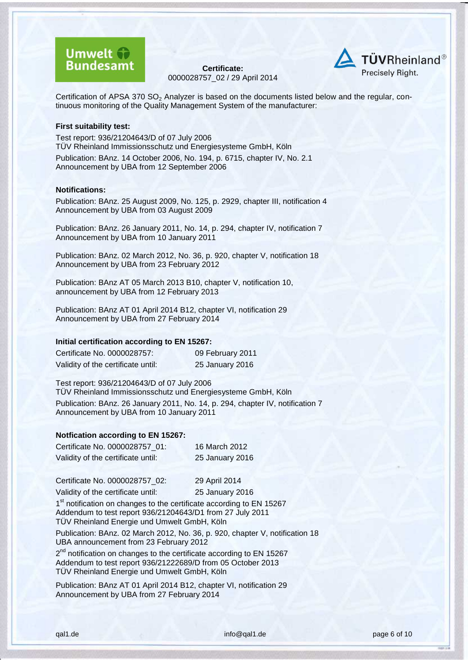# **Umwelt Bundesamt**

**Certificate:** [0000028757\\_](#page--1-0)02 / [29 April 2014](#page--1-1)



Certification of APSA 370  $SO<sub>2</sub>$  Analyzer is based on the documents listed below and the regular, continuous monitoring of the Quality Management System of the manufacturer:

#### **First suitability test:**

Test report: 936/21204643/D of 07 July 2006 TÜV Rheinland Immissionsschutz und Energiesysteme GmbH, Köln Publication: BAnz. 14 October 2006, No. 194, p. 6715, chapter IV, No. 2.1 Announcement by UBA from 12 September 2006

#### **Notifications:**

Publication: BAnz. 25 August 2009, No. 125, p. 2929, chapter III, notification 4 Announcement by UBA from 03 August 2009

Publication: BAnz. 26 January 2011, No. 14, p. 294, chapter IV, notification 7 Announcement by UBA from 10 January 2011

Publication: BAnz. 02 March 2012, No. 36, p. 920, chapter V, notification 18 Announcement by UBA from 23 February 2012

Publication: BAnz AT 05 March 2013 B10, chapter V, notification 10, announcement by UBA from 12 February 2013

Publication: BAnz AT 01 April 2014 B12, chapter VI, notification 29 Announcement by UBA from 27 February 2014

#### **Initial certification according to EN 15267:**

| Certificate No. 0000028757:        | 09 February 2011 |
|------------------------------------|------------------|
| Validity of the certificate until: | 25 January 2016  |

Test report: 936/21204643/D of 07 July 2006 TÜV Rheinland Immissionsschutz und Energiesysteme GmbH, Köln Publication: BAnz. 26 January 2011, No. 14, p. 294, chapter IV, notification 7 Announcement by UBA from 10 January 2011

#### **Notfication according to EN 15267:**

| Certificate No. 0000028757 01:     | 16 March 2012   |
|------------------------------------|-----------------|
| Validity of the certificate until: | 25 January 2016 |

Certificate No. 0000028757\_02: 29 April 2014

Validity of the certificate until: 25 January 2016

1<sup>st</sup> notification on changes to the certificate according to EN 15267 Addendum to test report 936/21204643/D1 from 27 July 2011 TÜV Rheinland Energie und Umwelt GmbH, Köln

Publication: BAnz. 02 March 2012, No. 36, p. 920, chapter V, notification 18 UBA announcement from 23 February 2012

2<sup>nd</sup> notification on changes to the certificate according to EN 15267 Addendum to test report 936/21222689/D from 05 October 2013 TÜV Rheinland Energie und Umwelt GmbH, Köln

Publication: BAnz AT 01 April 2014 B12, chapter VI, notification 29 Announcement by UBA from 27 February 2014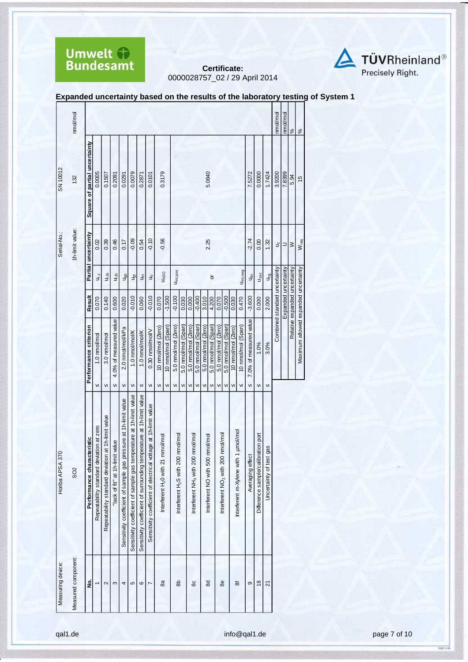



**Expanded uncertainty based on the results of the laboratory testing of System 1** 

|                   | nmol/mol            |                               |                                          |                                                    |                                 |                                                                  |                                                                     |                                                                      |                                                                 |                                                  |                    |                                                |                     |                                               |                     |                                  |                     |                                               |                     |                    |                                      |                        |                                    |                            | nmol/mol                      | nmol/mol             | $\frac{8}{6}$                 | $\frac{5}{6}$                        |
|-------------------|---------------------|-------------------------------|------------------------------------------|----------------------------------------------------|---------------------------------|------------------------------------------------------------------|---------------------------------------------------------------------|----------------------------------------------------------------------|-----------------------------------------------------------------|--------------------------------------------------|--------------------|------------------------------------------------|---------------------|-----------------------------------------------|---------------------|----------------------------------|---------------------|-----------------------------------------------|---------------------|--------------------|--------------------------------------|------------------------|------------------------------------|----------------------------|-------------------------------|----------------------|-------------------------------|--------------------------------------|
| SN 10012          | 132                 | Square of partial uncertainty | 0.0005                                   | 0.1507                                             | 0.2091                          | 0.0291                                                           | 0.0079                                                              | 0.2871                                                               | 0.0101                                                          | 0.3179                                           |                    |                                                |                     |                                               |                     | 5.0840                           |                     |                                               |                     |                    |                                      | 7.5272                 | 0.0000                             | 1.7424                     | 3.9200                        | 7.8399               | 5.94                          | $\frac{6}{2}$                        |
| Serial-No.:       | 1h-limit value:     | Partial uncertainty           | 0.02                                     | 0.39                                               | 0.46                            | 0.17                                                             | $-0.09$                                                             | 0.54                                                                 | $-0.10$                                                         | $-0.56$                                          |                    |                                                |                     |                                               |                     | 2.25                             |                     |                                               |                     |                    |                                      | $-2.74$                | 0.00                               | 1.32                       | ں<br>ح                        | ⊃                    | $\geq$                        | $W_{req}$                            |
|                   |                     |                               | $U_{r,z}$                                | Jr,ih                                              | $\frac{1}{2}$                   | J <sub>gp</sub>                                                  | J <sub>gt</sub>                                                     | Jșt                                                                  | $\geq$                                                          |                                                  | <b>UH2O</b>        | Uint, pos                                      |                     |                                               |                     |                                  | ŏ                   |                                               |                     |                    | Uint, neg                            | $u_{\rm sb}$           | $U_{\Delta SC}$                    | U <sub>cg</sub>            |                               |                      |                               |                                      |
|                   |                     | <b>Result</b>                 | 0.070                                    | 0.140                                              | 0.600                           | 0.020                                                            | $-0.010$                                                            | 0.060                                                                | $-0.010$                                                        | 0.070                                            | $-1.500$           | $-0.100$                                       | 0.030               | 0.000                                         | $-0.400$            | 3.010                            | 4.200               | 0.070                                         | $-0.500$            | 0.030              | 0.470                                | $-3.600$               | 0.000                              | 2.000                      | Combined standard uncertainty | Expanded uncertainty | Relative expanded uncertainty |                                      |
|                   |                     | Performance criterion         | 1.0 nmol/mol                             | 3.0 nmol/mol                                       | 4.0% of measured value          | 2.0 nmol/mol/kPa                                                 | 1.0 nmol/mol/K                                                      | 1.0 nmol/mol/K                                                       | 0.30 nmol/mol/V                                                 | 10 nmol/mol (Zero)                               | 10 nmol/mol (Span) | 5.0 nmol/mol (Zero)                            | 5.0 nmol/mol (Span) | 5.0 nmol/mol (Zero)                           | 5.0 nmol/mol (Span) | 5.0 nmol/mol (Zero)              | 5.0 nmol/mol (Span) | 5.0 nmol/mol (Zero)                           | 5.0 nmol/mol (Span) | 10 nmol/mol (Zero) | 10 nmol/mol (Span)                   | 7.0% of measured value | 1.0%                               | 3.0%                       |                               |                      |                               | Maximum allowed expanded uncertainty |
|                   |                     |                               | V <sub>l</sub>                           | VI                                                 | VI                              | VI                                                               | VI                                                                  | VI                                                                   | VI                                                              | VI                                               | VI                 | $\mathsf{v}$                                   | VI                  | VI                                            | VI                  | VI                               | VI                  | VI                                            | VI                  | VI                 | $\mathsf{v}$                         | VI                     | VI                                 | VI                         |                               |                      |                               |                                      |
| Horiba APSA 370   | S <sub>O</sub> 2    | Performance characteristic    | Repeatability standard deviation at zero | Repeatability standard deviation at 1h-limit value | "lack of fit" at 1h-limit value | Sensitivity coefficient of sample gas pressure at 1h-limit value | Sensitivity coefficient of sample gas temperature at 1h-limit value | Sensitivity coefficient of surrounding temperature at 1h-limit value | Sensitivity coefficient of electrical voltage at 1h-limit value | mmol/mol<br>Interferent H <sub>2</sub> 0 with 21 |                    | Interferent H <sub>2</sub> S with 200 nmol/mol |                     | Interferent NH <sub>3</sub> with 200 nmol/mol |                     | Interferent NO with 500 nmol/mol |                     | Interferent NO <sub>2</sub> with 200 nmol/mol |                     |                    | Interferent m-Xylene with 1 umol/mol | Averaging effect       | Difference sample/calibration port | gas<br>Uncertainty of test |                               |                      |                               |                                      |
| Measuring device: | Measured component: | ġ                             |                                          | $\sim$                                             | S                               | 4                                                                | 5                                                                   | ဖ                                                                    | $\overline{ }$                                                  | 8a                                               |                    | கி                                             |                     | 80                                            |                     | 8d                               |                     | 88                                            |                     |                    | ಹ                                    | ၜ                      | $\frac{8}{2}$                      | 21                         |                               |                      |                               |                                      |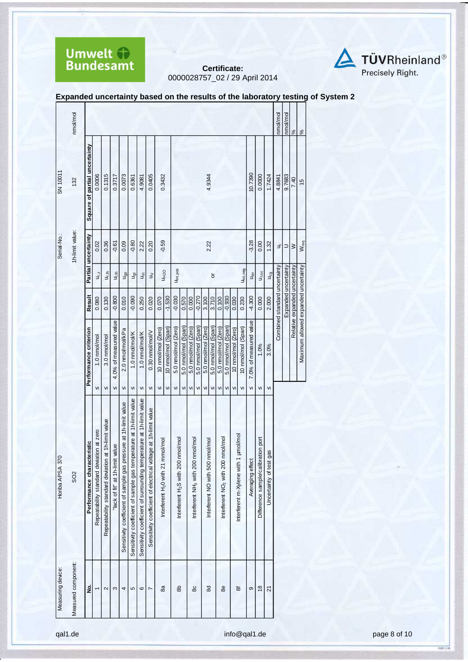



|  |  |  | Expanded uncertainty based on the results of the laboratory testing of System 2 |
|--|--|--|---------------------------------------------------------------------------------|
|--|--|--|---------------------------------------------------------------------------------|

| nmol/mol<br>nmol/mol<br>nmol/mol<br>%<br>$\frac{8}{3}$<br>Square of partial uncertainty<br>10.7390<br>0.0006<br>0.1315<br>0.0073<br>0.0405<br>0.3432<br>0.0000<br>0.3717<br>4.9344<br>1.7424<br>9.7683<br>4.9081<br>0.6361<br>4.8841<br>7.40<br>132<br>$\frac{15}{2}$<br>1h-limit value:<br>Partial uncertainty<br>$-3.28$<br>$-0.59$<br>0.36<br>$-0.80$<br>0.09<br>2.22<br>0.02<br>$-0.61$<br>0.20<br>2.22<br>0.00<br>1.32<br>$W_{req}$<br>$\exists$<br>$\geq$<br>⊃<br>Maximum allowed expanded uncertainty<br>Combined standard uncertainty<br>Relative expanded uncertainty<br>Expanded uncertainty<br>U <sub>int, pos</sub><br>U <sub>int, neg</sub><br>U <sub>H2O</sub><br>u <sub>r.lh</sub><br>$U_{\Delta SC}$<br>ai⊪<br>$U_{\rm cq}$<br>$U_{r,z}$<br>u <sub>gp</sub><br>$u_{\rm B}$<br>ğ<br>Jșt<br>$\gtrsim$<br>ð<br>Result<br>$-0.030$<br>$-0.800$<br>$-1.530$<br>$-0.270$<br>$-0.090$<br>$-0.930$<br>$-4.300$<br>0.000<br>2.000<br>0.080<br>0.130<br>0.010<br>0.250<br>0.070<br>0.570<br>3.100<br>3.710<br>0.230<br>0.000<br>0.020<br>0.100<br>0.030<br>4.0% of measured value<br>7.0% of measured value<br>5.0 nmol/mol (Span)<br>5.0 nmol/mol (Span)<br>5.0 nmol/mol (Zero)<br>5.0 nmol/mol (Span)<br>5.0 nmol/mol (Span)<br>10 nmol/mol (Span)<br>5.0 nmol/mol (Zero)<br>5.0 nmol/mol (Zero)<br>5.0 nmol/mol (Zero)<br>10 nmol/mol (Span)<br>10 nmol/mol (Zero)<br>Performance criterion<br>2.0 nmol/mol/kPa<br>10 nmol/mol (Zero)<br>0.30 nmol/mol/V<br>1.0 nmol/mol/K<br>1.0 nmol/mol/K<br>3.0 nmol/mol<br>1.0 nmol/mol<br>1.0%<br>3.0%<br>VI<br>VI<br>VI<br>$\mathsf{v}$<br>VI<br>VI<br>$\mathsf{V}$<br>$\mathsf{v}$<br>VI<br>VI<br>${\sf VI}$<br>VI<br>${\sf VI}$<br>VI<br>$\mathsf{VI}$<br>VI<br>VI<br>VI<br>VI<br>VI<br>VI<br>VI<br>Sensitivity coefficient of sample gas temperature at 1h-limit value<br>Sensitivity coefficient of surrounding temperature at 1h-limit value<br>Sensitivity coefficient of sample gas pressure at 1h-limit value<br>Sensitivity coefficient of electrical voltage at 1h-limit value<br>Repeatability standard deviation at 1h-limit value<br>Repeatability standard deviation at zero<br>µmol/mol<br>Interferent NO <sub>2</sub> with 200 nmol/mol<br>Interferent NH <sub>3</sub> with 200 nmol/mol<br>Difference sample/calibration port<br>Interferent H <sub>2</sub> S with 200 nmol/mol<br>mol/mol<br>Interferent NO with 500 nmol/mol<br>eristic<br>"lack of fit" at 1h-limit value<br>Uncertainty of test gas<br>Performance characte<br>Interferent H <sub>2</sub> 0 with 21 mr<br>Interferent m-Xylene with 1<br>Averaging effect<br>S <sub>O</sub> 2<br>ş<br>8a<br>80<br>88<br>8e<br>$\frac{8}{2}$<br>옮<br>ဖ<br>ಹ<br>ၜ<br>2<br>S<br>4<br>5<br>ম<br>Z | Measuring device:   | Horiba APSA 370 |  |  | Serial-No.: | SN 10011 |  |
|--------------------------------------------------------------------------------------------------------------------------------------------------------------------------------------------------------------------------------------------------------------------------------------------------------------------------------------------------------------------------------------------------------------------------------------------------------------------------------------------------------------------------------------------------------------------------------------------------------------------------------------------------------------------------------------------------------------------------------------------------------------------------------------------------------------------------------------------------------------------------------------------------------------------------------------------------------------------------------------------------------------------------------------------------------------------------------------------------------------------------------------------------------------------------------------------------------------------------------------------------------------------------------------------------------------------------------------------------------------------------------------------------------------------------------------------------------------------------------------------------------------------------------------------------------------------------------------------------------------------------------------------------------------------------------------------------------------------------------------------------------------------------------------------------------------------------------------------------------------------------------------------------------------------------------------------------------------------------------------------------------------------------------------------------------------------------------------------------------------------------------------------------------------------------------------------------------------------------------------------------------------------------------------------------------------------------------------------------------------------------------------------------------------------------------------------------------------------------------------------------------------------------------------------------------------------------------------------------------------------------------------------------------------------------------------------------------------------|---------------------|-----------------|--|--|-------------|----------|--|
|                                                                                                                                                                                                                                                                                                                                                                                                                                                                                                                                                                                                                                                                                                                                                                                                                                                                                                                                                                                                                                                                                                                                                                                                                                                                                                                                                                                                                                                                                                                                                                                                                                                                                                                                                                                                                                                                                                                                                                                                                                                                                                                                                                                                                                                                                                                                                                                                                                                                                                                                                                                                                                                                                                                    | Measured component: |                 |  |  |             |          |  |
|                                                                                                                                                                                                                                                                                                                                                                                                                                                                                                                                                                                                                                                                                                                                                                                                                                                                                                                                                                                                                                                                                                                                                                                                                                                                                                                                                                                                                                                                                                                                                                                                                                                                                                                                                                                                                                                                                                                                                                                                                                                                                                                                                                                                                                                                                                                                                                                                                                                                                                                                                                                                                                                                                                                    |                     |                 |  |  |             |          |  |
|                                                                                                                                                                                                                                                                                                                                                                                                                                                                                                                                                                                                                                                                                                                                                                                                                                                                                                                                                                                                                                                                                                                                                                                                                                                                                                                                                                                                                                                                                                                                                                                                                                                                                                                                                                                                                                                                                                                                                                                                                                                                                                                                                                                                                                                                                                                                                                                                                                                                                                                                                                                                                                                                                                                    |                     |                 |  |  |             |          |  |
|                                                                                                                                                                                                                                                                                                                                                                                                                                                                                                                                                                                                                                                                                                                                                                                                                                                                                                                                                                                                                                                                                                                                                                                                                                                                                                                                                                                                                                                                                                                                                                                                                                                                                                                                                                                                                                                                                                                                                                                                                                                                                                                                                                                                                                                                                                                                                                                                                                                                                                                                                                                                                                                                                                                    |                     |                 |  |  |             |          |  |
|                                                                                                                                                                                                                                                                                                                                                                                                                                                                                                                                                                                                                                                                                                                                                                                                                                                                                                                                                                                                                                                                                                                                                                                                                                                                                                                                                                                                                                                                                                                                                                                                                                                                                                                                                                                                                                                                                                                                                                                                                                                                                                                                                                                                                                                                                                                                                                                                                                                                                                                                                                                                                                                                                                                    |                     |                 |  |  |             |          |  |
|                                                                                                                                                                                                                                                                                                                                                                                                                                                                                                                                                                                                                                                                                                                                                                                                                                                                                                                                                                                                                                                                                                                                                                                                                                                                                                                                                                                                                                                                                                                                                                                                                                                                                                                                                                                                                                                                                                                                                                                                                                                                                                                                                                                                                                                                                                                                                                                                                                                                                                                                                                                                                                                                                                                    |                     |                 |  |  |             |          |  |
|                                                                                                                                                                                                                                                                                                                                                                                                                                                                                                                                                                                                                                                                                                                                                                                                                                                                                                                                                                                                                                                                                                                                                                                                                                                                                                                                                                                                                                                                                                                                                                                                                                                                                                                                                                                                                                                                                                                                                                                                                                                                                                                                                                                                                                                                                                                                                                                                                                                                                                                                                                                                                                                                                                                    |                     |                 |  |  |             |          |  |
|                                                                                                                                                                                                                                                                                                                                                                                                                                                                                                                                                                                                                                                                                                                                                                                                                                                                                                                                                                                                                                                                                                                                                                                                                                                                                                                                                                                                                                                                                                                                                                                                                                                                                                                                                                                                                                                                                                                                                                                                                                                                                                                                                                                                                                                                                                                                                                                                                                                                                                                                                                                                                                                                                                                    |                     |                 |  |  |             |          |  |
|                                                                                                                                                                                                                                                                                                                                                                                                                                                                                                                                                                                                                                                                                                                                                                                                                                                                                                                                                                                                                                                                                                                                                                                                                                                                                                                                                                                                                                                                                                                                                                                                                                                                                                                                                                                                                                                                                                                                                                                                                                                                                                                                                                                                                                                                                                                                                                                                                                                                                                                                                                                                                                                                                                                    |                     |                 |  |  |             |          |  |
|                                                                                                                                                                                                                                                                                                                                                                                                                                                                                                                                                                                                                                                                                                                                                                                                                                                                                                                                                                                                                                                                                                                                                                                                                                                                                                                                                                                                                                                                                                                                                                                                                                                                                                                                                                                                                                                                                                                                                                                                                                                                                                                                                                                                                                                                                                                                                                                                                                                                                                                                                                                                                                                                                                                    |                     |                 |  |  |             |          |  |
|                                                                                                                                                                                                                                                                                                                                                                                                                                                                                                                                                                                                                                                                                                                                                                                                                                                                                                                                                                                                                                                                                                                                                                                                                                                                                                                                                                                                                                                                                                                                                                                                                                                                                                                                                                                                                                                                                                                                                                                                                                                                                                                                                                                                                                                                                                                                                                                                                                                                                                                                                                                                                                                                                                                    |                     |                 |  |  |             |          |  |
|                                                                                                                                                                                                                                                                                                                                                                                                                                                                                                                                                                                                                                                                                                                                                                                                                                                                                                                                                                                                                                                                                                                                                                                                                                                                                                                                                                                                                                                                                                                                                                                                                                                                                                                                                                                                                                                                                                                                                                                                                                                                                                                                                                                                                                                                                                                                                                                                                                                                                                                                                                                                                                                                                                                    |                     |                 |  |  |             |          |  |
|                                                                                                                                                                                                                                                                                                                                                                                                                                                                                                                                                                                                                                                                                                                                                                                                                                                                                                                                                                                                                                                                                                                                                                                                                                                                                                                                                                                                                                                                                                                                                                                                                                                                                                                                                                                                                                                                                                                                                                                                                                                                                                                                                                                                                                                                                                                                                                                                                                                                                                                                                                                                                                                                                                                    |                     |                 |  |  |             |          |  |
|                                                                                                                                                                                                                                                                                                                                                                                                                                                                                                                                                                                                                                                                                                                                                                                                                                                                                                                                                                                                                                                                                                                                                                                                                                                                                                                                                                                                                                                                                                                                                                                                                                                                                                                                                                                                                                                                                                                                                                                                                                                                                                                                                                                                                                                                                                                                                                                                                                                                                                                                                                                                                                                                                                                    |                     |                 |  |  |             |          |  |
|                                                                                                                                                                                                                                                                                                                                                                                                                                                                                                                                                                                                                                                                                                                                                                                                                                                                                                                                                                                                                                                                                                                                                                                                                                                                                                                                                                                                                                                                                                                                                                                                                                                                                                                                                                                                                                                                                                                                                                                                                                                                                                                                                                                                                                                                                                                                                                                                                                                                                                                                                                                                                                                                                                                    |                     |                 |  |  |             |          |  |
|                                                                                                                                                                                                                                                                                                                                                                                                                                                                                                                                                                                                                                                                                                                                                                                                                                                                                                                                                                                                                                                                                                                                                                                                                                                                                                                                                                                                                                                                                                                                                                                                                                                                                                                                                                                                                                                                                                                                                                                                                                                                                                                                                                                                                                                                                                                                                                                                                                                                                                                                                                                                                                                                                                                    |                     |                 |  |  |             |          |  |
|                                                                                                                                                                                                                                                                                                                                                                                                                                                                                                                                                                                                                                                                                                                                                                                                                                                                                                                                                                                                                                                                                                                                                                                                                                                                                                                                                                                                                                                                                                                                                                                                                                                                                                                                                                                                                                                                                                                                                                                                                                                                                                                                                                                                                                                                                                                                                                                                                                                                                                                                                                                                                                                                                                                    |                     |                 |  |  |             |          |  |
|                                                                                                                                                                                                                                                                                                                                                                                                                                                                                                                                                                                                                                                                                                                                                                                                                                                                                                                                                                                                                                                                                                                                                                                                                                                                                                                                                                                                                                                                                                                                                                                                                                                                                                                                                                                                                                                                                                                                                                                                                                                                                                                                                                                                                                                                                                                                                                                                                                                                                                                                                                                                                                                                                                                    |                     |                 |  |  |             |          |  |
|                                                                                                                                                                                                                                                                                                                                                                                                                                                                                                                                                                                                                                                                                                                                                                                                                                                                                                                                                                                                                                                                                                                                                                                                                                                                                                                                                                                                                                                                                                                                                                                                                                                                                                                                                                                                                                                                                                                                                                                                                                                                                                                                                                                                                                                                                                                                                                                                                                                                                                                                                                                                                                                                                                                    |                     |                 |  |  |             |          |  |
|                                                                                                                                                                                                                                                                                                                                                                                                                                                                                                                                                                                                                                                                                                                                                                                                                                                                                                                                                                                                                                                                                                                                                                                                                                                                                                                                                                                                                                                                                                                                                                                                                                                                                                                                                                                                                                                                                                                                                                                                                                                                                                                                                                                                                                                                                                                                                                                                                                                                                                                                                                                                                                                                                                                    |                     |                 |  |  |             |          |  |
|                                                                                                                                                                                                                                                                                                                                                                                                                                                                                                                                                                                                                                                                                                                                                                                                                                                                                                                                                                                                                                                                                                                                                                                                                                                                                                                                                                                                                                                                                                                                                                                                                                                                                                                                                                                                                                                                                                                                                                                                                                                                                                                                                                                                                                                                                                                                                                                                                                                                                                                                                                                                                                                                                                                    |                     |                 |  |  |             |          |  |
|                                                                                                                                                                                                                                                                                                                                                                                                                                                                                                                                                                                                                                                                                                                                                                                                                                                                                                                                                                                                                                                                                                                                                                                                                                                                                                                                                                                                                                                                                                                                                                                                                                                                                                                                                                                                                                                                                                                                                                                                                                                                                                                                                                                                                                                                                                                                                                                                                                                                                                                                                                                                                                                                                                                    |                     |                 |  |  |             |          |  |
|                                                                                                                                                                                                                                                                                                                                                                                                                                                                                                                                                                                                                                                                                                                                                                                                                                                                                                                                                                                                                                                                                                                                                                                                                                                                                                                                                                                                                                                                                                                                                                                                                                                                                                                                                                                                                                                                                                                                                                                                                                                                                                                                                                                                                                                                                                                                                                                                                                                                                                                                                                                                                                                                                                                    |                     |                 |  |  |             |          |  |
|                                                                                                                                                                                                                                                                                                                                                                                                                                                                                                                                                                                                                                                                                                                                                                                                                                                                                                                                                                                                                                                                                                                                                                                                                                                                                                                                                                                                                                                                                                                                                                                                                                                                                                                                                                                                                                                                                                                                                                                                                                                                                                                                                                                                                                                                                                                                                                                                                                                                                                                                                                                                                                                                                                                    |                     |                 |  |  |             |          |  |
|                                                                                                                                                                                                                                                                                                                                                                                                                                                                                                                                                                                                                                                                                                                                                                                                                                                                                                                                                                                                                                                                                                                                                                                                                                                                                                                                                                                                                                                                                                                                                                                                                                                                                                                                                                                                                                                                                                                                                                                                                                                                                                                                                                                                                                                                                                                                                                                                                                                                                                                                                                                                                                                                                                                    |                     |                 |  |  |             |          |  |
|                                                                                                                                                                                                                                                                                                                                                                                                                                                                                                                                                                                                                                                                                                                                                                                                                                                                                                                                                                                                                                                                                                                                                                                                                                                                                                                                                                                                                                                                                                                                                                                                                                                                                                                                                                                                                                                                                                                                                                                                                                                                                                                                                                                                                                                                                                                                                                                                                                                                                                                                                                                                                                                                                                                    |                     |                 |  |  |             |          |  |
|                                                                                                                                                                                                                                                                                                                                                                                                                                                                                                                                                                                                                                                                                                                                                                                                                                                                                                                                                                                                                                                                                                                                                                                                                                                                                                                                                                                                                                                                                                                                                                                                                                                                                                                                                                                                                                                                                                                                                                                                                                                                                                                                                                                                                                                                                                                                                                                                                                                                                                                                                                                                                                                                                                                    |                     |                 |  |  |             |          |  |
|                                                                                                                                                                                                                                                                                                                                                                                                                                                                                                                                                                                                                                                                                                                                                                                                                                                                                                                                                                                                                                                                                                                                                                                                                                                                                                                                                                                                                                                                                                                                                                                                                                                                                                                                                                                                                                                                                                                                                                                                                                                                                                                                                                                                                                                                                                                                                                                                                                                                                                                                                                                                                                                                                                                    |                     |                 |  |  |             |          |  |

qal1.de **info@qal1.de info@qal1.de page 8 of [10](#page-9-0)**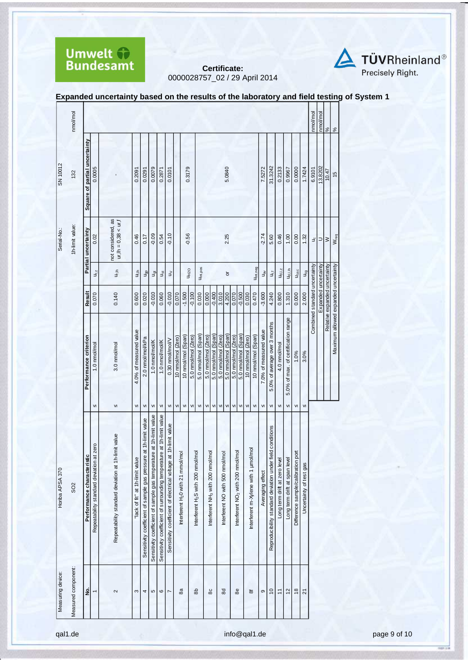



|  | Expanded uncertainty based on the results of the laboratory and field testing of System 1 |
|--|-------------------------------------------------------------------------------------------|

|                   | nmol/mol            |                               |                                          |                                                    |                                |                                                                     |                                                                     |                                                                      |                                                                 |                    |                                               |                     |                                                |                     |                                               |                     |                                  |                                               |                     |                    |                                           |                        |                                                           |                               |                                     |                                    |                            | nmol/mol                      | nmol/mol             | $\frac{8}{6}$                 | $\frac{8}{6}$                        |
|-------------------|---------------------|-------------------------------|------------------------------------------|----------------------------------------------------|--------------------------------|---------------------------------------------------------------------|---------------------------------------------------------------------|----------------------------------------------------------------------|-----------------------------------------------------------------|--------------------|-----------------------------------------------|---------------------|------------------------------------------------|---------------------|-----------------------------------------------|---------------------|----------------------------------|-----------------------------------------------|---------------------|--------------------|-------------------------------------------|------------------------|-----------------------------------------------------------|-------------------------------|-------------------------------------|------------------------------------|----------------------------|-------------------------------|----------------------|-------------------------------|--------------------------------------|
| SN 10012          | 132                 | Square of partial uncertainty | 0.0005                                   |                                                    | 0.2091                         | 0.0291                                                              | 0.0079                                                              | 0.2871                                                               | 0.0101                                                          |                    | 0.3179                                        |                     |                                                |                     |                                               |                     | 5.0840                           |                                               |                     |                    |                                           | 7.5272                 | 31.3242                                                   | 0.2133                        | 0.9967                              | 0.0000                             | 1.7424                     | 6.9101                        | 13.8202              | 10.47                         | $\overline{5}$                       |
| Serial-No.        | 1h-limit value:     | Partial uncertainty           | 0.02                                     | not considered, as<br>$ur, lh = 0,38 < ur, f$      | 0.46                           | 0.17                                                                | $-0.09$                                                             | 0.54                                                                 | $-0.10$                                                         |                    | $-0.56$                                       |                     |                                                |                     |                                               |                     | 2.25                             |                                               |                     |                    |                                           | $-2.74$                | 5.60                                                      | 0.46                          | 1.00                                | 0.00                               | 1.32                       | ٩                             | $\supset$            | $\geq$                        | W <sub>req</sub>                     |
|                   |                     |                               | $U_{r,z}$                                | ur,⊪                                               | ujit                           | $\mathsf{u}_{\mathsf{g} \mathsf{p}}^{\mathsf{g}}$                   | $\bar{\vec{S}}$                                                     | $\breve{\mathbb{S}}$                                                 | $\grave{\exists}$                                               |                    |                                               | U <sub>H2O</sub>    | Uint, pos                                      |                     |                                               |                     | $\overline{\circ}$               |                                               |                     |                    | Uint, neg                                 | $u_{\rm BV}$           | Ë                                                         | $u_{d, l, z}$                 | $U_{d, l, h}$                       | $U_{\Delta SC}$                    | $\mathsf{u}_{\mathsf{cg}}$ |                               |                      |                               |                                      |
|                   |                     | Result                        | 0.070                                    | 0.140                                              | 0.600                          | 0.020                                                               | $-0.010$                                                            | 0.060                                                                | $-0.010$                                                        | 0.070              | $-1.500$                                      | $-0.100$            | 0.030                                          | 0.000               | $-0.400$                                      | 3.010               | 4.200                            | 0.070                                         | $-0.500$            | 0.030              | 0.470                                     | $-3.600$               | 4.240                                                     | 0.800                         | 1.310                               | 0.000                              | 2.000                      | Combined standard uncertainty | Expanded uncertainty | Relative expanded uncertainty |                                      |
|                   |                     | Performance criterion         | 1.0 nmol/mol                             | 3.0 nmol/mol                                       | 4.0% of measured value         | 2.0 nmol/mol/kPa                                                    | 1.0 nmol/mol/K                                                      | 1.0 nmol/mol/K                                                       | 0.30 nmol/mol/V                                                 | 10 nmol/mol (Zero) | 10 nmol/mol (Span)                            | 5.0 nmol/mol (Zero) | 5.0 nmol/mol (Span)                            | 5.0 nmol/mol (Zero) | 5.0 nmol/mol (Span)                           | 5.0 nmol/mol (Zero) | 5.0 nmol/mol (Span)              | 5.0 nmol/mol (Zero)                           | 5.0 nmol/mol (Span) | 10 nmol/mol (Zero) | 10 nmol/mol (Span)                        | 7.0% of measured value | 5.0% of average over 3 months                             | 4.0 nmol/mol                  | 5.0% of max. of certification range | 1.0%                               | 3.0%                       |                               |                      |                               | Maximum allowed expanded uncertainty |
|                   |                     |                               | VI                                       | VI                                                 | VI                             | VI                                                                  | VI                                                                  | VI                                                                   | VI                                                              | VI                 | ${\sf VI}$                                    | ${\sf VI}$          | $\mathsf{v}$                                   |                     | VI VI                                         |                     | VI VI                            | ${\sf VI}$                                    | $\mathsf{VI}$       | VI                 | ${\sf VI}$                                | VI                     | ${\sf VI}$                                                | VI                            | VI                                  | VI                                 | $\mathsf{v}$               |                               |                      |                               |                                      |
| Horiba APSA 370   | S <sub>O</sub>      | Performance characteristi     | Repeatability standard deviation at zero | Repeatability standard deviation at 1h-limit value | lack of fit" at 1h-limit value | at 1h-limit value<br>Sensitivity coefficient of sample gas pressure | Sensitivity coefficient of sample gas temperature at 1h-limit value | Sensitivity coefficient of surrounding temperature at 1h-limit value | Sensitivity coefficient of electrical voltage at 1h-limit value |                    | Interferent H <sub>2</sub> 0 with 21 mmol/mol |                     | Interferent H <sub>2</sub> S with 200 nmol/mol |                     | Interferent NH <sub>3</sub> with 200 nmol/mol |                     | Interferent NO with 500 nmol/mol | Interferent NO <sub>2</sub> with 200 nmol/mol |                     |                    | lou/<br>Interferent m-Xylene with 1 umol/ | Averaging effect       | Reproducibility standard deviation under field conditions | Long term drift at zero level | Long term drift at span level       | Difference sample/calibration port | Uncertainty of test gas    |                               |                      |                               |                                      |
| Measuring device: | Measured component: | غ<br>ع                        | $\overline{ }$                           | $\mathbf{\Omega}$                                  | S                              | 4                                                                   | 5                                                                   | ဖ                                                                    | $\overline{ }$                                                  |                    | æ                                             |                     | 옮                                              |                     | 80                                            |                     | 8 <sup>o</sup>                   | æ                                             |                     |                    | ಹ                                         | თ                      | $\overline{0}$                                            | $\overline{1}$                | $\overline{c}$                      | $\frac{8}{2}$                      | $\overline{2}$             |                               |                      |                               |                                      |